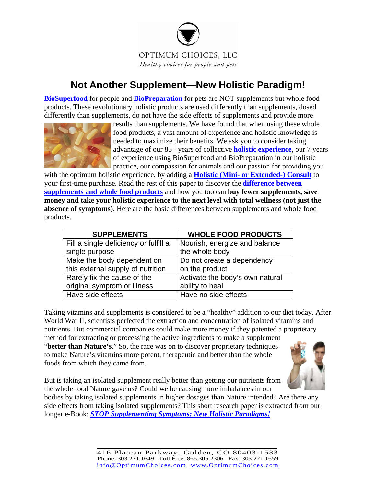

# **Not Another Supplement—New Holistic Paradigm!**

**[BioSuperfood](http://www.optimumchoices.com/spirulina.htm)** for people and **[BioPreparation](http://www.optimumchoices.com/BioPreparation_for_animals.htm)** for pets are NOT supplements but whole food products. These revolutionary holistic products are used differently than supplements, dosed differently than supplements, do not have the side effects of supplements and provide more



results than supplements. We have found that when using these whole food products, a vast amount of experience and holistic knowledge is needed to maximize their benefits. We ask you to consider taking advantage of our 85+ years of collective **[holistic experience](http://www.optimumchoices.com/company.htm)**, our 7 years of experience using BioSuperfood and BioPreparation in our holistic practice, our compassion for animals and our passion for providing you

with the optimum holistic experience, by adding a **[Holistic \(Mini- or Extended-\) Consult](http://www.optimumchoices.com/Holistic_consultations.htm)** to your first-time purchase. Read the rest of this paper to discover the **[difference between](http://www.optimumchoices.com/Whole_Food_Products.htm)  [supplements and whole food products](http://www.optimumchoices.com/Whole_Food_Products.htm)** and how you too can **buy fewer supplements, save money and take your holistic experience to the next level with total wellness (not just the absence of symptoms)**. Here are the basic differences between supplements and whole food products.

| <b>SUPPLEMENTS</b>                    | <b>WHOLE FOOD PRODUCTS</b>      |
|---------------------------------------|---------------------------------|
| Fill a single deficiency or fulfill a | Nourish, energize and balance   |
| single purpose                        | the whole body                  |
| Make the body dependent on            | Do not create a dependency      |
| this external supply of nutrition     | on the product                  |
| Rarely fix the cause of the           | Activate the body's own natural |
| original symptom or illness           | ability to heal                 |
| Have side effects                     | Have no side effects            |

Taking vitamins and supplements is considered to be a "healthy" addition to our diet today. After World War II, scientists perfected the extraction and concentration of isolated vitamins and nutrients. But commercial companies could make more money if they patented a proprietary method for extracting or processing the active ingredients to make a supplement "**better than Nature's**." So, the race was on to discover proprietary techniques to make Nature's vitamins more potent, therapeutic and better than the whole foods from which they came from.



But is taking an isolated supplement really better than getting our nutrients from the whole food Nature gave us? Could we be causing more imbalances in our

bodies by taking isolated supplements in higher dosages than Nature intended? Are there any side effects from taking isolated supplements? This short research paper is extracted from our longer e-Book: *[STOP Supplementing Symptoms: New Holistic Paradigms!](http://www.optimumchoices.com/e-books.htm)*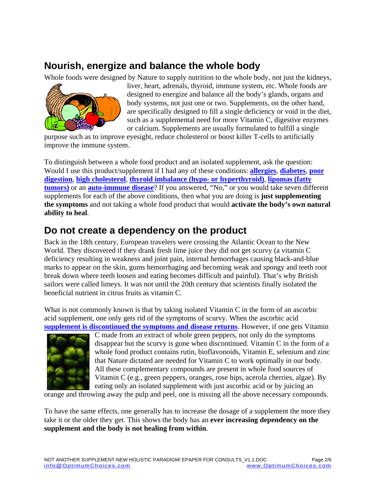#### **Nourish, energize and balance the whole body**

Whole foods were designed by Nature to supply nutrition to the whole body, not just the kidneys,



liver, heart, adrenals, thyroid, immune system, etc. Whole foods are designed to energize and balance all the body's glands, organs and body systems, not just one or two. Supplements, on the other hand, are specifically designed to fill a single deficiency or void in the diet, such as a supplemental need for more Vitamin C, digestive enzymes or calcium. Supplements are usually formulated to fulfill a single

purpose such as to improve eyesight, reduce cholesterol or boost killer T-cells to artificially improve the immune system.

To distinguish between a whole food product and an isolated supplement, ask the question: Would I use this product/supplement if I had any of these conditions: **[allergies](http://www.optimumchoices.com/Allergies.htm)**, **[diabetes](http://www.optimumchoices.com/Diabetes.htm)**, **[poor](http://www.optimumchoices.com/Irritable_bowel_disease.htm)  [digestion](http://www.optimumchoices.com/Irritable_bowel_disease.htm)**, **[high cholesterol](http://www.optimumchoices.com/testimonials.htm#cholesterol)**, **[thyroid imbalance \(hypo- or hyperthyroid\)](http://www.optimumchoices.com/Thyroid.htm)**, **[lipomas \(fatty](http://www.optimumchoices.com/Lipoma_Pets.htm)  [tumors\)](http://www.optimumchoices.com/Lipoma_Pets.htm)** or an **[auto-immune disease](http://www.optimumchoices.com/AIHA-AutoImmuneHemolyticAnemia.htm)**? If you answered, "No," or you would take seven different supplements for each of the above conditions, then what you are doing is **just supplementing the symptoms** and not taking a whole food product that would **activate the body's own natural ability to heal**.

### **Do not create a dependency on the product**

Back in the 18th century, European travelers were crossing the Atlantic Ocean to the New World. They discovered if they drank fresh lime juice they did not get scurvy (a vitamin C deficiency resulting in weakness and joint pain, internal hemorrhages causing black-and-blue marks to appear on the skin, gums hemorrhaging and becoming weak and spongy and teeth root break down where teeth loosen and eating becomes difficult and painful). That's why British sailors were called limeys. It was not until the 20th century that scientists finally isolated the beneficial nutrient in citrus fruits as vitamin C.

What is not commonly known is that by taking isolated Vitamin C in the form of an ascorbic acid supplement, one only gets rid of the symptoms of scurvy. When the ascorbic acid **[supplement is discontinued the symptoms and disease returns](http://www.optimumchoices.com/Vitamin_C.htm)**. However, if one gets Vitamin



C made from an extract of whole green peppers, not only do the symptoms disappear but the scurvy is gone when discontinued. Vitamin C in the form of a whole food product contains rutin, bioflavonoids, Vitamin E, selenium and zinc that Nature dictated are needed for Vitamin C to work optimally in our body. All these complementary compounds are present in whole food sources of Vitamin C (e.g., green peppers, oranges, rose hips, acerola cherries, algae). By eating only an isolated supplement with just ascorbic acid or by juicing an

orange and throwing away the pulp and peel, one is missing all the above necessary compounds.

To have the same effects, one generally has to increase the dosage of a supplement the more they take it or the older they get. This shows the body has an **ever increasing dependency on the supplement and the body is not healing from within**.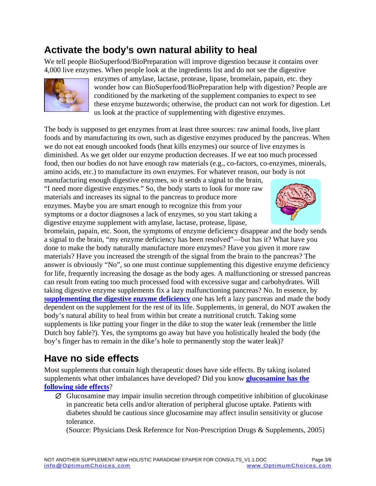# **Activate the body's own natural ability to heal**

We tell people BioSuperfood/BioPreparation will improve digestion because it contains over 4,000 live enzymes. When people look at the ingredients list and do not see the digestive



enzymes of amylase, lactase, protease, lipase, bromelain, papain, etc. they wonder how can BioSuperfood/BioPreparation help with digestion? People are conditioned by the marketing of the supplement companies to expect to see these enzyme buzzwords; otherwise, the product can not work for digestion. Let us look at the practice of supplementing with digestive enzymes.

The body is supposed to get enzymes from at least three sources: raw animal foods, live plant foods and by manufacturing its own, such as digestive enzymes produced by the pancreas. When we do not eat enough uncooked foods (heat kills enzymes) our source of live enzymes is diminished. As we get older our enzyme production decreases. If we eat too much processed food, then our bodies do not have enough raw materials (e.g., co-factors, co-enzymes, minerals, amino acids, etc.) to manufacture its own enzymes. For whatever reason, our body is not

manufacturing enough digestive enzymes, so it sends a signal to the brain, "I need more digestive enzymes." So, the body starts to look for more raw materials and increases its signal to the pancreas to produce more enzymes. Maybe you are smart enough to recognize this from your symptoms or a doctor diagnoses a lack of enzymes, so you start taking a digestive enzyme supplement with amylase, lactase, protease, lipase,



bromelain, papain, etc. Soon, the symptoms of enzyme deficiency disappear and the body sends a signal to the brain, "my enzyme deficiency has been resolved"—but has it? What have you done to make the body naturally manufacture more enzymes? Have you given it more raw materials? Have you increased the strength of the signal from the brain to the pancreas? The answer is obviously "No", so one must continue supplementing this digestive enzyme deficiency for life, frequently increasing the dosage as the body ages. A malfunctioning or stressed pancreas can result from eating too much processed food with excessive sugar and carbohydrates. Will taking digestive enzyme supplements fix a lazy malfunctioning pancreas? No. In essence, by **[supplementing the digestive enzyme deficiency](http://www.optimumchoices.com/Whole_Food_Products.htm#Why_Taking_Digestive_Enzymes_is_Not_Entirely_Holistic)** one has left a lazy pancreas and made the body dependent on the supplement for the rest of its life. Supplements, in general, do NOT awaken the body's natural ability to heal from within but create a nutritional crutch. Taking some supplements is like putting your finger in the dike to stop the water leak (remember the little Dutch boy fable?). Yes, the symptoms go away but have you holistically healed the body (the boy's finger has to remain in the dike's hole to permanently stop the water leak)?

# **Have no side effects**

Most supplements that contain high therapeutic doses have side effects. By taking isolated supplements what other imbalances have developed? Did you know **[glucosamine has the](http://www.optimumchoices.com/Whole_Food_Products.htm#Side_Effects_of_Glucosamine)  [following side effects](http://www.optimumchoices.com/Whole_Food_Products.htm#Side_Effects_of_Glucosamine)**?

∅ Glucosamine may impair insulin secretion through competitive inhibition of glucokinase in pancreatic beta cells and/or alteration of peripheral glucose uptake. Patients with diabetes should be cautious since glucosamine may affect insulin sensitivity or glucose tolerance.

(Source: Physicians Desk Reference for Non-Prescription Drugs & Supplements, 2005)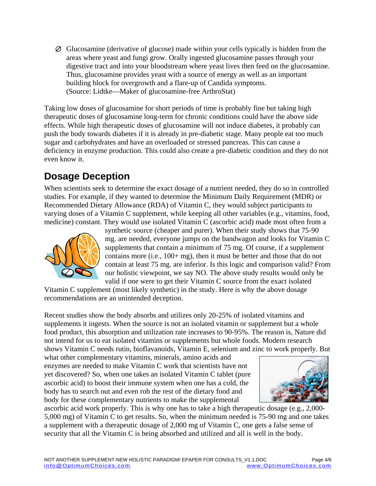∅ Glucosamine (derivative of glucose) made within your cells typically is hidden from the areas where yeast and fungi grow. Orally ingested glucosamine passes through your digestive tract and into your bloodstream where yeast lives then feed on the glucosamine. Thus, glucosamine provides yeast with a source of energy as well as an important building block for overgrowth and a flare-up of Candida symptoms. (Source: Lidtke—Maker of glucosamine-free ArthroStat)

Taking low doses of glucosamine for short periods of time is probably fine but taking high therapeutic doses of glucosamine long-term for chronic conditions could have the above side effects. While high therapeutic doses of glucosamine will not induce diabetes, it probably can push the body towards diabetes if it is already in pre-diabetic stage. Many people eat too much sugar and carbohydrates and have an overloaded or stressed pancreas. This can cause a deficiency in enzyme production. This could also create a pre-diabetic condition and they do not even know it.

# **Dosage Deception**

When scientists seek to determine the exact dosage of a nutrient needed, they do so in controlled studies. For example, if they wanted to determine the Minimum Daily Requirement (MDR) or Recommended Dietary Allowance (RDA) of Vitamin C, they would subject participants to varying doses of a Vitamin C supplement, while keeping all other variables (e.g., vitamins, food, medicine) constant. They would use isolated Vitamin C (ascorbic acid) made most often from a



synthetic source (cheaper and purer). When their study shows that 75-90 mg. are needed, everyone jumps on the bandwagon and looks for Vitamin C supplements that contain a minimum of 75 mg. Of course, if a supplement contains more (i.e.,  $100+$  mg), then it must be better and those that do not contain at least 75 mg. are inferior. Is this logic and comparison valid? From our holistic viewpoint, we say NO. The above study results would only be valid if one were to get their Vitamin C source from the exact isolated

Vitamin C supplement (most likely synthetic) in the study. Here is why the above dosage recommendations are an unintended deception.

Recent studies show the body absorbs and utilizes only 20-25% of isolated vitamins and supplements it ingests. When the source is not an isolated vitamin or supplement but a whole food product, this absorption and utilization rate increases to 90-95%. The reason is, Nature did not intend for us to eat isolated vitamins or supplements but whole foods. Modern research shows Vitamin C needs rutin, bioflavanoids, Vitamin E, selenium and zinc to work properly. But

what other complementary vitamins, minerals, amino acids and enzymes are needed to make Vitamin C work that scientists have not yet discovered? So, when one takes an isolated Vitamin C tablet (pure ascorbic acid) to boost their immune system when one has a cold, the body has to search out and even rob the rest of the dietary food and body for these complementary nutrients to make the supplemental



ascorbic acid work properly. This is why one has to take a high therapeutic dosage (e.g., 2,000- 5,000 mg) of Vitamin C to get results. So, when the minimum needed is 75-90 mg and one takes a supplement with a therapeutic dosage of 2,000 mg of Vitamin C, one gets a false sense of security that all the Vitamin C is being absorbed and utilized and all is well in the body.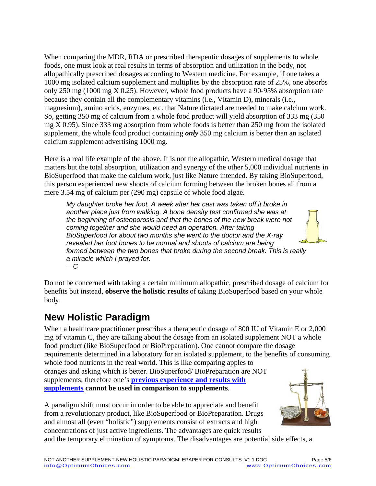When comparing the MDR, RDA or prescribed therapeutic dosages of supplements to whole foods, one must look at real results in terms of absorption and utilization in the body, not allopathically prescribed dosages according to Western medicine. For example, if one takes a 1000 mg isolated calcium supplement and multiplies by the absorption rate of 25%, one absorbs only 250 mg (1000 mg X 0.25). However, whole food products have a 90-95% absorption rate because they contain all the complementary vitamins (i.e., Vitamin D), minerals (i.e., magnesium), amino acids, enzymes, etc. that Nature dictated are needed to make calcium work. So, getting 350 mg of calcium from a whole food product will yield absorption of 333 mg (350 mg X 0.95). Since 333 mg absorption from whole foods is better than 250 mg from the isolated supplement, the whole food product containing *only* 350 mg calcium is better than an isolated calcium supplement advertising 1000 mg.

Here is a real life example of the above. It is not the allopathic, Western medical dosage that matters but the total absorption, utilization and synergy of the other 5,000 individual nutrients in BioSuperfood that make the calcium work, just like Nature intended. By taking BioSuperfood, this person experienced new shoots of calcium forming between the broken bones all from a mere 3.54 mg of calcium per (290 mg) capsule of whole food algae.

*My daughter broke her foot. A week after her cast was taken off it broke in another place just from walking. A bone density test confirmed she was at the beginning of osteoporosis and that the bones of the new break were not coming together and she would need an operation. After taking BioSuperfood for about two months she went to the doctor and the X-ray revealed her foot bones to be normal and shoots of calcium are being formed between the two bones that broke during the second break. This is really a miracle which I prayed for. —C* 

Do not be concerned with taking a certain minimum allopathic, prescribed dosage of calcium for benefits but instead, **observe the holistic results** of taking BioSuperfood based on your whole body.

# **New Holistic Paradigm**

When a healthcare practitioner prescribes a therapeutic dosage of 800 IU of Vitamin E or 2,000 mg of vitamin C, they are talking about the dosage from an isolated supplement NOT a whole food product (like BioSuperfood or BioPreparation). One cannot compare the dosage requirements determined in a laboratory for an isolated supplement, to the benefits of consuming whole food nutrients in the real world. This is like comparing apples to oranges and asking which is better. BioSuperfood/ BioPreparation are NOT supplements; therefore one's **[previous experience and results with](http://www.optimumchoices.com/January_2009.htm#Dosage_Deception)  [supplements](http://www.optimumchoices.com/January_2009.htm#Dosage_Deception) cannot be used in comparison to supplements**.

A paradigm shift must occur in order to be able to appreciate and benefit from a revolutionary product, like BioSuperfood or BioPreparation. Drugs and almost all (even "holistic") supplements consist of extracts and high concentrations of just active ingredients. The advantages are quick results



and the temporary elimination of symptoms. The disadvantages are potential side effects, a